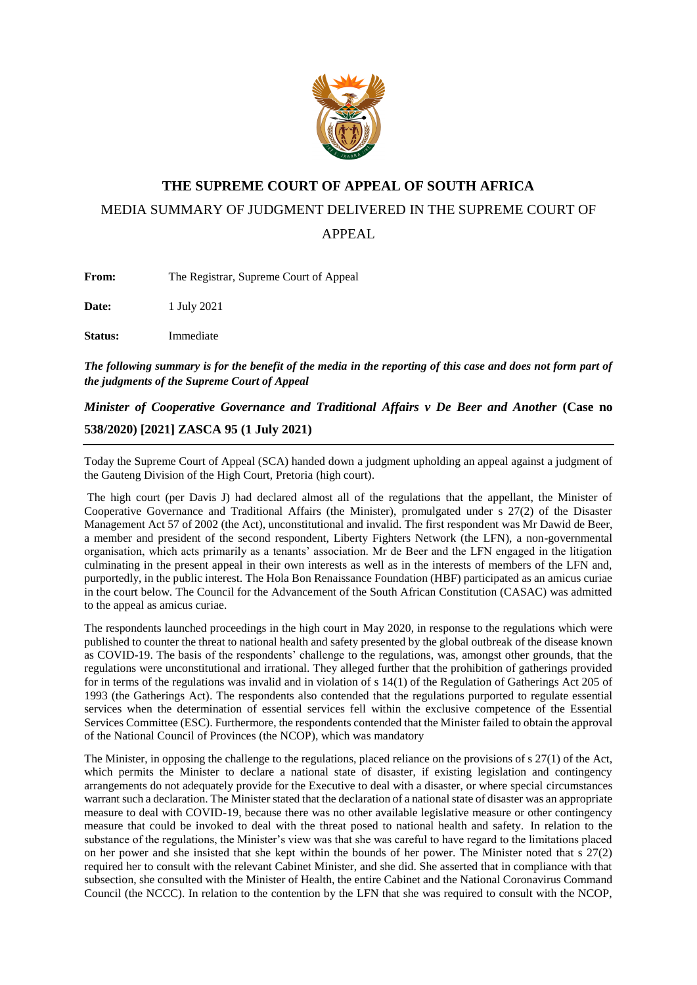

## **THE SUPREME COURT OF APPEAL OF SOUTH AFRICA**

MEDIA SUMMARY OF JUDGMENT DELIVERED IN THE SUPREME COURT OF

APPEAL

**From:** The Registrar, Supreme Court of Appeal

**Date:** 1 July 2021

**Status:** Immediate

*The following summary is for the benefit of the media in the reporting of this case and does not form part of the judgments of the Supreme Court of Appeal*

*Minister of Cooperative Governance and Traditional Affairs v De Beer and Another* (Case no **538/2020) [2021] ZASCA 95 (1 July 2021)**

Today the Supreme Court of Appeal (SCA) handed down a judgment upholding an appeal against a judgment of the Gauteng Division of the High Court, Pretoria (high court).

The high court (per Davis J) had declared almost all of the regulations that the appellant, the Minister of Cooperative Governance and Traditional Affairs (the Minister), promulgated under s 27(2) of the Disaster Management Act 57 of 2002 (the Act), unconstitutional and invalid. The first respondent was Mr Dawid de Beer, a member and president of the second respondent, Liberty Fighters Network (the LFN), a non-governmental organisation, which acts primarily as a tenants' association. Mr de Beer and the LFN engaged in the litigation culminating in the present appeal in their own interests as well as in the interests of members of the LFN and, purportedly, in the public interest. The Hola Bon Renaissance Foundation (HBF) participated as an amicus curiae in the court below. The Council for the Advancement of the South African Constitution (CASAC) was admitted to the appeal as amicus curiae.

The respondents launched proceedings in the high court in May 2020, in response to the regulations which were published to counter the threat to national health and safety presented by the global outbreak of the disease known as COVID-19. The basis of the respondents' challenge to the regulations, was, amongst other grounds, that the regulations were unconstitutional and irrational. They alleged further that the prohibition of gatherings provided for in terms of the regulations was invalid and in violation of s 14(1) of the Regulation of Gatherings Act 205 of 1993 (the Gatherings Act). The respondents also contended that the regulations purported to regulate essential services when the determination of essential services fell within the exclusive competence of the Essential Services Committee (ESC). Furthermore, the respondents contended that the Minister failed to obtain the approval of the National Council of Provinces (the NCOP), which was mandatory

The Minister, in opposing the challenge to the regulations, placed reliance on the provisions of s 27(1) of the Act, which permits the Minister to declare a national state of disaster, if existing legislation and contingency arrangements do not adequately provide for the Executive to deal with a disaster, or where special circumstances warrant such a declaration. The Minister stated that the declaration of a national state of disaster was an appropriate measure to deal with COVID-19, because there was no other available legislative measure or other contingency measure that could be invoked to deal with the threat posed to national health and safety. In relation to the substance of the regulations, the Minister's view was that she was careful to have regard to the limitations placed on her power and she insisted that she kept within the bounds of her power. The Minister noted that s  $27(2)$ required her to consult with the relevant Cabinet Minister, and she did. She asserted that in compliance with that subsection, she consulted with the Minister of Health, the entire Cabinet and the National Coronavirus Command Council (the NCCC). In relation to the contention by the LFN that she was required to consult with the NCOP,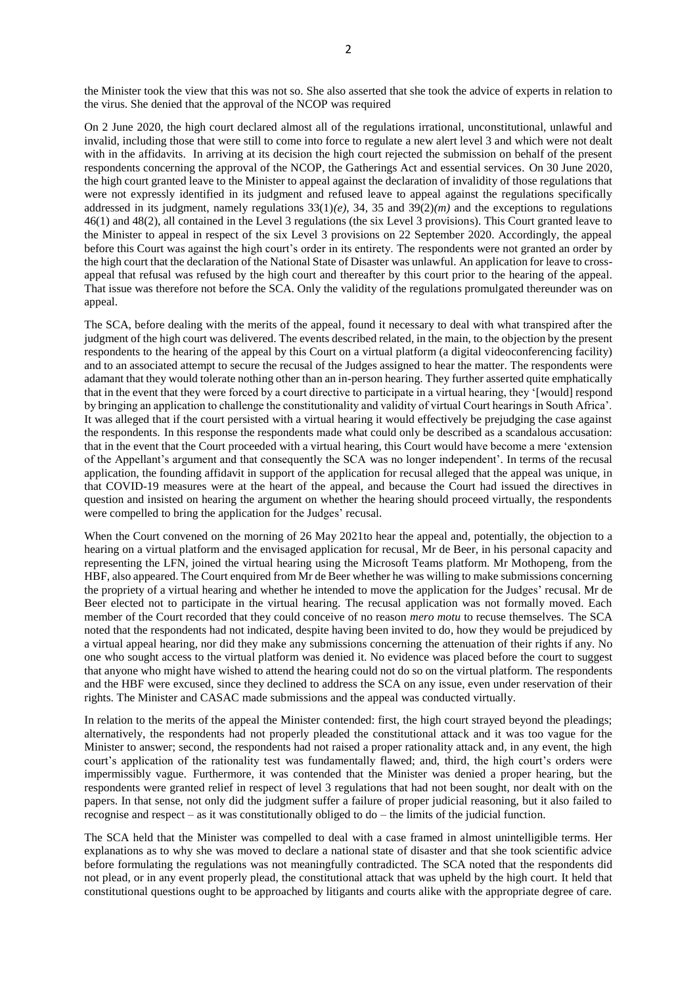the Minister took the view that this was not so. She also asserted that she took the advice of experts in relation to the virus. She denied that the approval of the NCOP was required

On 2 June 2020, the high court declared almost all of the regulations irrational, unconstitutional, unlawful and invalid, including those that were still to come into force to regulate a new alert level 3 and which were not dealt with in the affidavits. In arriving at its decision the high court rejected the submission on behalf of the present respondents concerning the approval of the NCOP, the Gatherings Act and essential services. On 30 June 2020, the high court granted leave to the Minister to appeal against the declaration of invalidity of those regulations that were not expressly identified in its judgment and refused leave to appeal against the regulations specifically addressed in its judgment, namely regulations  $33(1)(e)$ ,  $34$ ,  $35$  and  $39(2)(m)$  and the exceptions to regulations 46(1) and 48(2), all contained in the Level 3 regulations (the six Level 3 provisions). This Court granted leave to the Minister to appeal in respect of the six Level 3 provisions on 22 September 2020. Accordingly, the appeal before this Court was against the high court's order in its entirety. The respondents were not granted an order by the high court that the declaration of the National State of Disaster was unlawful. An application for leave to crossappeal that refusal was refused by the high court and thereafter by this court prior to the hearing of the appeal. That issue was therefore not before the SCA. Only the validity of the regulations promulgated thereunder was on appeal.

The SCA, before dealing with the merits of the appeal, found it necessary to deal with what transpired after the judgment of the high court was delivered. The events described related, in the main, to the objection by the present respondents to the hearing of the appeal by this Court on a virtual platform (a digital videoconferencing facility) and to an associated attempt to secure the recusal of the Judges assigned to hear the matter. The respondents were adamant that they would tolerate nothing other than an in-person hearing. They further asserted quite emphatically that in the event that they were forced by a court directive to participate in a virtual hearing, they '[would] respond by bringing an application to challenge the constitutionality and validity of virtual Court hearings in South Africa'. It was alleged that if the court persisted with a virtual hearing it would effectively be prejudging the case against the respondents. In this response the respondents made what could only be described as a scandalous accusation: that in the event that the Court proceeded with a virtual hearing, this Court would have become a mere 'extension of the Appellant's argument and that consequently the SCA was no longer independent'. In terms of the recusal application, the founding affidavit in support of the application for recusal alleged that the appeal was unique, in that COVID-19 measures were at the heart of the appeal, and because the Court had issued the directives in question and insisted on hearing the argument on whether the hearing should proceed virtually, the respondents were compelled to bring the application for the Judges' recusal.

When the Court convened on the morning of 26 May 2021to hear the appeal and, potentially, the objection to a hearing on a virtual platform and the envisaged application for recusal, Mr de Beer, in his personal capacity and representing the LFN, joined the virtual hearing using the Microsoft Teams platform. Mr Mothopeng, from the HBF, also appeared. The Court enquired from Mr de Beer whether he was willing to make submissions concerning the propriety of a virtual hearing and whether he intended to move the application for the Judges' recusal. Mr de Beer elected not to participate in the virtual hearing. The recusal application was not formally moved. Each member of the Court recorded that they could conceive of no reason *mero motu* to recuse themselves. The SCA noted that the respondents had not indicated, despite having been invited to do, how they would be prejudiced by a virtual appeal hearing, nor did they make any submissions concerning the attenuation of their rights if any. No one who sought access to the virtual platform was denied it. No evidence was placed before the court to suggest that anyone who might have wished to attend the hearing could not do so on the virtual platform. The respondents and the HBF were excused, since they declined to address the SCA on any issue, even under reservation of their rights. The Minister and CASAC made submissions and the appeal was conducted virtually.

In relation to the merits of the appeal the Minister contended: first, the high court strayed beyond the pleadings; alternatively, the respondents had not properly pleaded the constitutional attack and it was too vague for the Minister to answer; second, the respondents had not raised a proper rationality attack and, in any event, the high court's application of the rationality test was fundamentally flawed; and, third, the high court's orders were impermissibly vague. Furthermore, it was contended that the Minister was denied a proper hearing, but the respondents were granted relief in respect of level 3 regulations that had not been sought, nor dealt with on the papers. In that sense, not only did the judgment suffer a failure of proper judicial reasoning, but it also failed to recognise and respect – as it was constitutionally obliged to do – the limits of the judicial function.

The SCA held that the Minister was compelled to deal with a case framed in almost unintelligible terms. Her explanations as to why she was moved to declare a national state of disaster and that she took scientific advice before formulating the regulations was not meaningfully contradicted. The SCA noted that the respondents did not plead, or in any event properly plead, the constitutional attack that was upheld by the high court. It held that constitutional questions ought to be approached by litigants and courts alike with the appropriate degree of care.